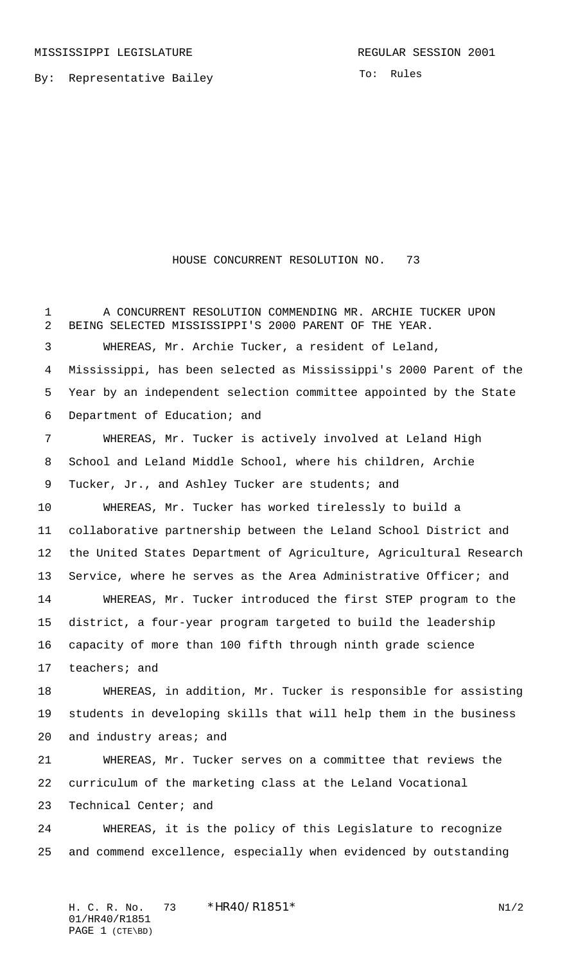By: Representative Bailey

To: Rules

## HOUSE CONCURRENT RESOLUTION NO. 73

 A CONCURRENT RESOLUTION COMMENDING MR. ARCHIE TUCKER UPON BEING SELECTED MISSISSIPPI'S 2000 PARENT OF THE YEAR. WHEREAS, Mr. Archie Tucker, a resident of Leland, Mississippi, has been selected as Mississippi's 2000 Parent of the Year by an independent selection committee appointed by the State Department of Education; and WHEREAS, Mr. Tucker is actively involved at Leland High School and Leland Middle School, where his children, Archie 9 Tucker, Jr., and Ashley Tucker are students; and WHEREAS, Mr. Tucker has worked tirelessly to build a collaborative partnership between the Leland School District and the United States Department of Agriculture, Agricultural Research 13 Service, where he serves as the Area Administrative Officer; and WHEREAS, Mr. Tucker introduced the first STEP program to the district, a four-year program targeted to build the leadership capacity of more than 100 fifth through ninth grade science teachers; and WHEREAS, in addition, Mr. Tucker is responsible for assisting students in developing skills that will help them in the business and industry areas; and WHEREAS, Mr. Tucker serves on a committee that reviews the curriculum of the marketing class at the Leland Vocational Technical Center; and WHEREAS, it is the policy of this Legislature to recognize and commend excellence, especially when evidenced by outstanding